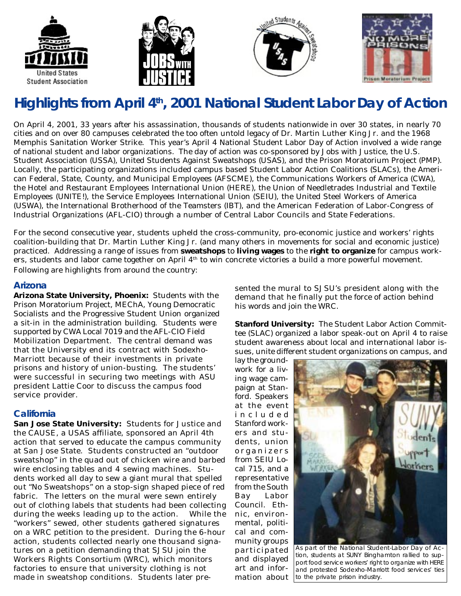







# **Highlights from April 4th, 2001 National Student Labor Day of Action**

On April 4, 2001, 33 years after his assassination, thousands of students nationwide in over 30 states, in nearly 70 cities and on over 80 campuses celebrated the too often untold legacy of Dr. Martin Luther King Jr. and the 1968 Memphis Sanitation Worker Strike. This year's April 4 National Student Labor Day of Action involved a wide range of national student and labor organizations. The day of action was co-sponsored by Jobs with Justice, the U.S. Student Association (USSA), United Students Against Sweatshops (USAS), and the Prison Moratorium Project (PMP). Locally, the participating organizations included campus based Student Labor Action Coalitions (SLACs), the American Federal, State, County, and Municipal Employees (AFSCME), the Communications Workers of America (CWA), the Hotel and Restaurant Employees International Union (HERE), the Union of Needletrades Industrial and Textile Employees (UNITE!), the Service Employees International Union (SEIU), the United Steel Workers of America (USWA), the International Brotherhood of the Teamsters (IBT), and the American Federation of Labor-Congress of Industrial Organizations (AFL-CIO) through a number of Central Labor Councils and State Federations.

For the second consecutive year, students upheld the cross-community, pro-economic justice and workers' rights coalition-building that Dr. Martin Luther King Jr. (and many others in movements for social and economic justice) practiced. Addressing a range of issues from **sweatshops** to **living wages** to the **right to organize** for campus workers, students and labor came together on April  $4<sup>th</sup>$  to win concrete victories a build a more powerful movement. Following are highlights from around the country:

#### **Arizona**

**Arizona State University, Phoenix:** Students with the Prison Moratorium Project, MEChA, Young Democratic Socialists and the Progressive Student Union organized a sit-in in the administration building. Students were supported by CWA Local 7019 and the AFL-CIO Field Mobilization Department. The central demand was that the University end its contract with Sodexho-Marriott because of their investments in private prisons and history of union-busting. The students' were successful in securing two meetings with ASU president Lattie Coor to discuss the campus food service provider.

## **California**

**San Jose State University:** Students for Justice and the CAUSE, a USAS affiliate, sponsored an April 4th action that served to educate the campus community at San Jose State. Students constructed an "outdoor sweatshop" in the quad out of chicken wire and barbed wire enclosing tables and 4 sewing machines. Students worked all day to sew a giant mural that spelled out "No Sweatshops" on a stop-sign shaped piece of red fabric. The letters on the mural were sewn entirely out of clothing labels that students had been collecting during the weeks leading up to the action. While the "workers" sewed, other students gathered signatures on a WRC petition to the president. During the 6-hour action, students collected nearly one thousand signatures on a petition demanding that SJSU join the Workers Rights Consortium (WRC), which monitors factories to ensure that university clothing is not made in sweatshop conditions. Students later presented the mural to SJSU's president along with the demand that he finally put the force of action behind his words and join the WRC.

**Stanford University:** The Student Labor Action Committee (SLAC) organized a labor speak-out on April 4 to raise student awareness about local and international labor issues, unite different student organizations on campus, and

lay the groundwork for a living wage campaign at Stanford. Speakers at the event included Stanford workers and students, union organizers from SEIU Local 715, and a representative from the South Bay Labor Council. Ethnic, environmental, political and community groups participated and displayed art and information about



As part of the National Student-Labor Day of Action, students at SUNY Binghamton rallied to support food service workers' right to organize with HERE and protested Sodexho-Marriott food services' ties to the private prison industry.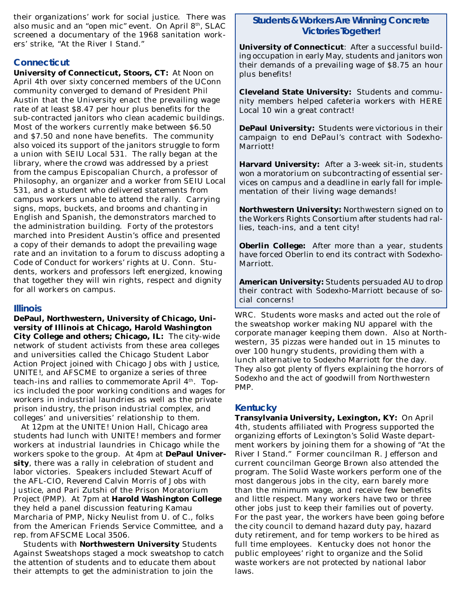their organizations' work for social justice. There was also music and an "open mic" event. On April 8th, SLAC screened a documentary of the 1968 sanitation workers' strike, "At the River I Stand."

#### **Connecticut**

**University of Connecticut, Stoors, CT:** At Noon on April 4th over sixty concerned members of the UConn community converged to demand of President Phil Austin that the University enact the prevailing wage rate of at least \$8.47 per hour plus benefits for the sub-contracted janitors who clean academic buildings. Most of the workers currently make between \$6.50 and \$7.50 and none have benefits. The community also voiced its support of the janitors struggle to form a union with SEIU Local 531. The rally began at the library, where the crowd was addressed by a priest from the campus Episcopalian Church, a professor of Philosophy, an organizer and a worker from SEIU Local 531, and a student who delivered statements from campus workers unable to attend the rally. Carrying signs, mops, buckets, and brooms and chanting in English and Spanish, the demonstrators marched to the administration building. Forty of the protestors marched into President Austin's office and presented a copy of their demands to adopt the prevailing wage rate and an invitation to a forum to discuss adopting a Code of Conduct for workers' rights at U. Conn. Students, workers and professors left energized, knowing that together they will win rights, respect and dignity for all workers on campus.

#### **Illinois**

**DePaul, Northwestern, University of Chicago, University of Illinois at Chicago, Harold Washington City College and others; Chicago, IL:** The city-wide network of student activists from these area colleges and universities called the Chicago Student Labor Action Project joined with Chicago Jobs with Justice, UNITE!, and AFSCME to organize a series of three teach-ins and rallies to commemorate April  $4<sup>th</sup>$ . Topics included the poor working conditions and wages for workers in industrial laundries as well as the private prison industry, the prison industrial complex, and colleges' and universities' relationship to them.

 At 12pm at the UNITE! Union Hall, Chicago area students had lunch with UNITE! members and former workers at industrial laundries in Chicago while the workers spoke to the group. At 4pm at **DePaul University**, there was a rally in celebration of student and labor victories. Speakers included Stewart Acuff of the AFL-CIO, Reverend Calvin Morris of Jobs with Justice, and Pari Zutshi of the Prison Moratorium Project (PMP). At 7pm at **Harold Washington College** they held a panel discussion featuring Kamau Marcharia of PMP, Nicky Neulist from U. of C., folks from the American Friends Service Committee, and a rep. from AFSCME Local 3506.

 Students with **Northwestern University** Students Against Sweatshops staged a mock sweatshop to catch the attention of students and to educate them about their attempts to get the administration to join the

#### **Students & Workers Are Winning Concrete Victories Together!**

**University of Connecticut**: After a successful building occupation in early May, students and janitors won their demands of a prevailing wage of \$8.75 an hour plus benefits!

**Cleveland State University:** Students and community members helped cafeteria workers with HERE Local 10 win a great contract!

**DePaul University:** Students were victorious in their campaign to end DePaul's contract with Sodexho-Marriott!

**Harvard University:** After a 3-week sit-in, students won a moratorium on subcontracting of essential services on campus and a deadline in early fall for implementation of their living wage demands!

**Northwestern University:** Northwestern signed on to the Workers Rights Consortium after students had rallies, teach-ins, and a tent city!

**Oberlin College:** After more than a year, students have forced Oberlin to end its contract with Sodexho-Marriott.

**American University:** Students persuaded AU to drop their contract with Sodexho-Marriott because of social concerns!

WRC. Students wore masks and acted out the role of the sweatshop worker making NU apparel with the corporate manager keeping them down. Also at Northwestern, 35 pizzas were handed out in 15 minutes to over 100 hungry students, providing them with a lunch alternative to Sodexho Marriott for the day. They also got plenty of flyers explaining the horrors of Sodexho and the act of goodwill from Northwestern PMP.

#### **Kentucky**

**Transylvania University, Lexington, KY:** On April 4th, students affiliated with Progress supported the organizing efforts of Lexington's Solid Waste department workers by joining them for a showing of "At the River I Stand." Former councilman R. Jefferson and current councilman George Brown also attended the program. The Solid Waste workers perform one of the most dangerous jobs in the city, earn barely more than the minimum wage, and receive few benefits and little respect. Many workers have two or three other jobs just to keep their families out of poverty. For the past year, the workers have been going before the city council to demand hazard duty pay, hazard duty retirement, and for temp workers to be hired as full time employees. Kentucky does not honor the public employees' right to organize and the Solid waste workers are not protected by national labor laws.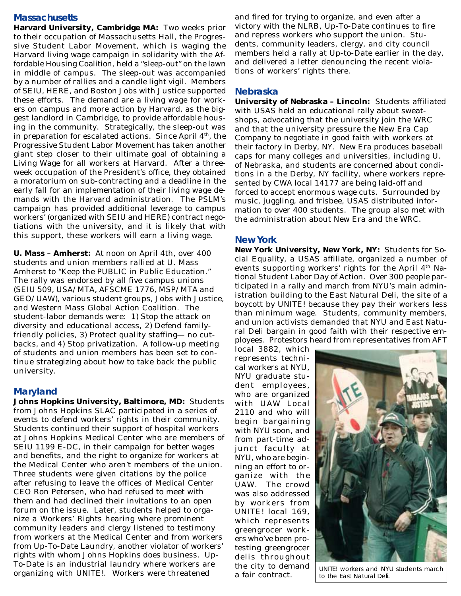#### **Massachusetts**

**Harvard University, Cambridge MA:** Two weeks prior to their occupation of Massachusetts Hall, the Progressive Student Labor Movement, which is waging the Harvard living wage campaign in solidarity with the Affordable Housing Coalition, held a "sleep-out" on the lawn in middle of campus. The sleep-out was accompanied by a number of rallies and a candle light vigil. Members of SEIU, HERE, and Boston Jobs with Justice supported these efforts. The demand are a living wage for workers on campus and more action by Harvard, as the biggest landlord in Cambridge, to provide affordable housing in the community. Strategically, the sleep-out was in preparation for escalated actions. Since April  $4<sup>th</sup>$ , the Progressive Student Labor Movement has taken another giant step closer to their ultimate goal of obtaining a Living Wage for all workers at Harvard. After a threeweek occupation of the President's office, they obtained a moratorium on sub-contracting and a deadline in the early fall for an implementation of their living wage demands with the Harvard administration. The PSLM's campaign has provided additional leverage to campus workers' (organized with SEIU and HERE) contract negotiations with the university, and it is likely that with this support, these workers will earn a living wage.

**U. Mass – Amherst:** At noon on April 4th, over 400 students and union members rallied at U. Mass Amherst to "Keep the PUBLIC in Public Education." The rally was endorsed by all five campus unions (SEIU 509, USA/MTA, AFSCME 1776, MSP/MTA and GEO/UAW), various student groups, Jobs with Justice, and Western Mass Global Action Coalition. The student-labor demands were: 1) Stop the attack on diversity and educational access, 2) Defend familyfriendly policies, 3) Protect quality staffing— no cutbacks, and 4) Stop privatization. A follow-up meeting of students and union members has been set to continue strategizing about how to take back the public university.

#### **Maryland**

**Johns Hopkins University, Baltimore, MD:** Students from Johns Hopkins SLAC participated in a series of events to defend workers' rights in their community. Students continued their support of hospital workers at Johns Hopkins Medical Center who are members of SEIU 1199 E-DC, in their campaign for better wages and benefits, and the right to organize for workers at the Medical Center who aren't members of the union. Three students were given citations by the police after refusing to leave the offices of Medical Center CEO Ron Petersen, who had refused to meet with them and had declined their invitations to an open forum on the issue. Later, students helped to organize a Workers' Rights hearing where prominent community leaders and clergy listened to testimony from workers at the Medical Center and from workers from Up-To-Date Laundry, another violator of workers' rights with whom Johns Hopkins does business. Up-To-Date is an industrial laundry where workers are organizing with UNITE!. Workers were threatened

and fired for trying to organize, and even after a victory with the NLRB, Up-To-Date continues to fire and repress workers who support the union. Students, community leaders, clergy, and city council members held a rally at Up-to-Date earlier in the day, and delivered a letter denouncing the recent violations of workers' rights there.

#### **Nebraska**

**University of Nebraska – Lincoln:** Students affiliated with USAS held an educational rally about sweatshops, advocating that the university join the WRC and that the university pressure the New Era Cap Company to negotiate in good faith with workers at their factory in Derby, NY. New Era produces baseball caps for many colleges and universities, including U. of Nebraska, and students are concerned about conditions in a the Derby, NY facility, where workers represented by CWA local 14177 are being laid-off and forced to accept enormous wage cuts. Surrounded by music, juggling, and frisbee, USAS distributed information to over 400 students. The group also met with the administration about New Era and the WRC.

#### **New York**

**New York University, New York, NY:** Students for Social Equality, a USAS affiliate, organized a number of events supporting workers' rights for the April  $4<sup>th</sup>$  National Student Labor Day of Action. Over 300 people participated in a rally and march from NYU's main administration building to the East Natural Deli, the site of a boycott by UNITE! because they pay their workers less than minimum wage. Students, community members, and union activists demanded that NYU and East Natural Deli bargain in good faith with their respective employees. Protestors heard from representatives from AFT

local 3882, which represents technical workers at NYU, NYU graduate student employees, who are organized with UAW Local 2110 and who will begin bargaining with NYU soon, and from part-time adjunct faculty at NYU, who are beginning an effort to organize with the UAW. The crowd was also addressed by workers from UNITE! local 169, which represents greengrocer workers who've been protesting greengrocer delis throughout the city to demand a fair contract.



UNITE! workers and NYU students march to the East Natural Deli.